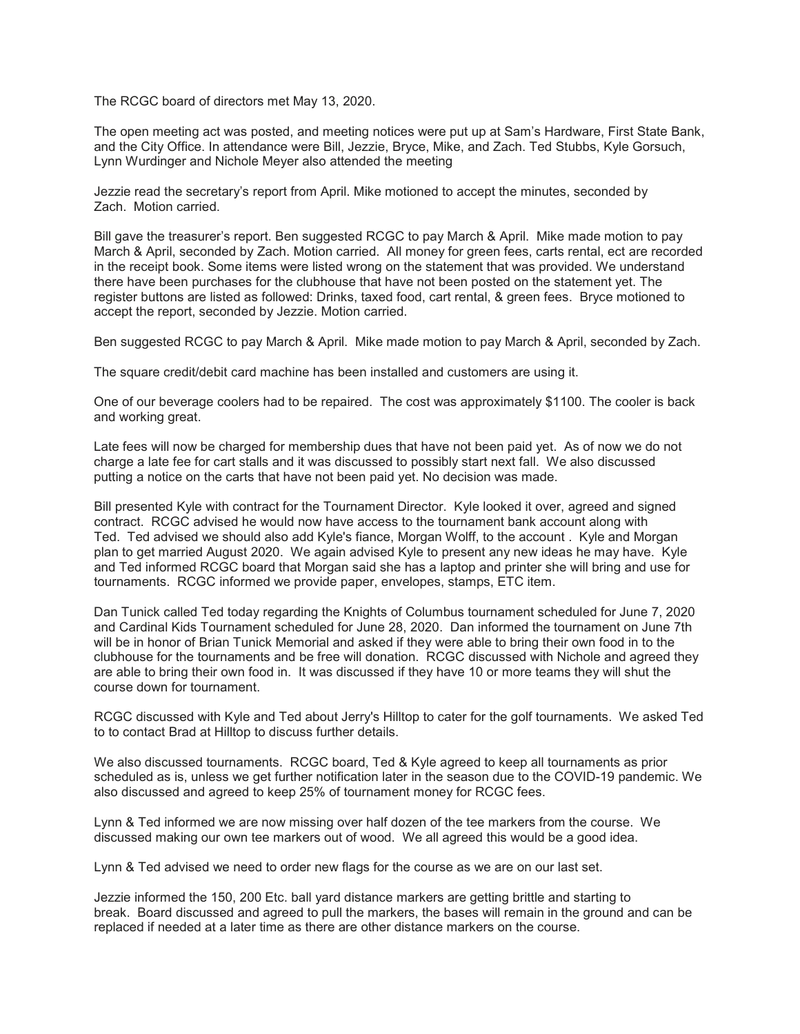The RCGC board of directors met May 13, 2020.

The open meeting act was posted, and meeting notices were put up at Sam's Hardware, First State Bank, and the City Office. In attendance were Bill, Jezzie, Bryce, Mike, and Zach. Ted Stubbs, Kyle Gorsuch, Lynn Wurdinger and Nichole Meyer also attended the meeting

Jezzie read the secretary's report from April. Mike motioned to accept the minutes, seconded by Zach. Motion carried.

Bill gave the treasurer's report. Ben suggested RCGC to pay March & April. Mike made motion to pay March & April, seconded by Zach. Motion carried. All money for green fees, carts rental, ect are recorded in the receipt book. Some items were listed wrong on the statement that was provided. We understand there have been purchases for the clubhouse that have not been posted on the statement yet. The register buttons are listed as followed: Drinks, taxed food, cart rental, & green fees. Bryce motioned to accept the report, seconded by Jezzie. Motion carried.

Ben suggested RCGC to pay March & April. Mike made motion to pay March & April, seconded by Zach.

The square credit/debit card machine has been installed and customers are using it.

One of our beverage coolers had to be repaired. The cost was approximately \$1100. The cooler is back and working great.

Late fees will now be charged for membership dues that have not been paid yet. As of now we do not charge a late fee for cart stalls and it was discussed to possibly start next fall. We also discussed putting a notice on the carts that have not been paid yet. No decision was made.

Bill presented Kyle with contract for the Tournament Director. Kyle looked it over, agreed and signed contract. RCGC advised he would now have access to the tournament bank account along with Ted. Ted advised we should also add Kyle's fiance, Morgan Wolff, to the account . Kyle and Morgan plan to get married August 2020. We again advised Kyle to present any new ideas he may have. Kyle and Ted informed RCGC board that Morgan said she has a laptop and printer she will bring and use for tournaments. RCGC informed we provide paper, envelopes, stamps, ETC item.

Dan Tunick called Ted today regarding the Knights of Columbus tournament scheduled for June 7, 2020 and Cardinal Kids Tournament scheduled for June 28, 2020. Dan informed the tournament on June 7th will be in honor of Brian Tunick Memorial and asked if they were able to bring their own food in to the clubhouse for the tournaments and be free will donation. RCGC discussed with Nichole and agreed they are able to bring their own food in. It was discussed if they have 10 or more teams they will shut the course down for tournament.

RCGC discussed with Kyle and Ted about Jerry's Hilltop to cater for the golf tournaments. We asked Ted to to contact Brad at Hilltop to discuss further details.

We also discussed tournaments. RCGC board, Ted & Kyle agreed to keep all tournaments as prior scheduled as is, unless we get further notification later in the season due to the COVID-19 pandemic. We also discussed and agreed to keep 25% of tournament money for RCGC fees.

Lynn & Ted informed we are now missing over half dozen of the tee markers from the course. We discussed making our own tee markers out of wood. We all agreed this would be a good idea.

Lynn & Ted advised we need to order new flags for the course as we are on our last set.

Jezzie informed the 150, 200 Etc. ball yard distance markers are getting brittle and starting to break. Board discussed and agreed to pull the markers, the bases will remain in the ground and can be replaced if needed at a later time as there are other distance markers on the course.